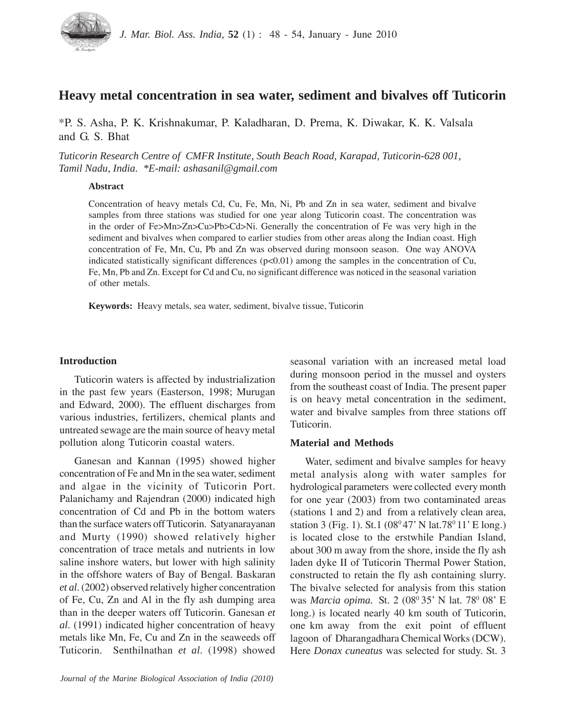

# **Heavy metal concentration in sea water, sediment and bivalves off Tuticorin**

\*P. S. Asha, P. K. Krishnakumar, P. Kaladharan, D. Prema, K. Diwakar, K. K. Valsala and G. S. Bhat

*Tuticorin Research Centre of CMFR Institute, South Beach Road, Karapad, Tuticorin-628 001, Tamil Nadu, India. \*E-mail: ashasanil@gmail.com*

### **Abstract**

Concentration of heavy metals Cd, Cu, Fe, Mn, Ni, Pb and Zn in sea water, sediment and bivalve samples from three stations was studied for one year along Tuticorin coast. The concentration was in the order of Fe>Mn>Zn>Cu>Pb>Cd>Ni. Generally the concentration of Fe was very high in the sediment and bivalves when compared to earlier studies from other areas along the Indian coast. High concentration of Fe, Mn, Cu, Pb and Zn was observed during monsoon season. One way ANOVA indicated statistically significant differences (p<0.01) among the samples in the concentration of Cu, Fe, Mn, Pb and Zn. Except for Cd and Cu, no significant difference was noticed in the seasonal variation of other metals.

**Keywords:** Heavy metals, sea water, sediment, bivalve tissue, Tuticorin

# **Introduction**

Tuticorin waters is affected by industrialization in the past few years (Easterson, 1998; Murugan and Edward, 2000). The effluent discharges from various industries, fertilizers, chemical plants and untreated sewage are the main source of heavy metal pollution along Tuticorin coastal waters.

Ganesan and Kannan (1995) showed higher concentration of Fe and Mn in the sea water, sediment and algae in the vicinity of Tuticorin Port. Palanichamy and Rajendran (2000) indicated high concentration of Cd and Pb in the bottom waters than the surface waters off Tuticorin. Satyanarayanan and Murty (1990) showed relatively higher concentration of trace metals and nutrients in low saline inshore waters, but lower with high salinity in the offshore waters of Bay of Bengal. Baskaran *et al*. (2002) observed relatively higher concentration of Fe, Cu, Zn and Al in the fly ash dumping area than in the deeper waters off Tuticorin. Ganesan *et al*. (1991) indicated higher concentration of heavy metals like Mn, Fe, Cu and Zn in the seaweeds off Tuticorin. Senthilnathan *et al*. (1998) showed seasonal variation with an increased metal load during monsoon period in the mussel and oysters from the southeast coast of India. The present paper is on heavy metal concentration in the sediment, water and bivalve samples from three stations off Tuticorin.

# **Material and Methods**

Water, sediment and bivalve samples for heavy metal analysis along with water samples for hydrological parameters were collected every month for one year (2003) from two contaminated areas (stations 1 and 2) and from a relatively clean area, station 3 (Fig. 1). St.1 ( $08^{\circ}47'$  N lat.78 $^{\circ}$  11' E long.) is located close to the erstwhile Pandian Island, about 300 m away from the shore, inside the fly ash laden dyke II of Tuticorin Thermal Power Station, constructed to retain the fly ash containing slurry. The bivalve selected for analysis from this station was *Marcia opima*. St. 2 (08<sup>0</sup> 35' N lat. 78<sup>0</sup> 08' E long.) is located nearly 40 km south of Tuticorin, one km away from the exit point of effluent lagoon of Dharangadhara Chemical Works (DCW). Here *Donax cuneatus* was selected for study. St. 3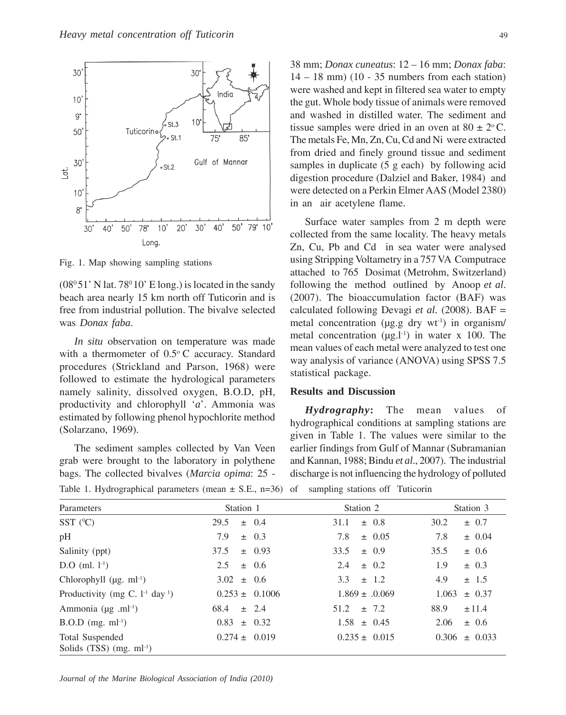

Fig. 1. Map showing sampling stations

 $(08<sup>0</sup>51' N lat. 78<sup>0</sup>10' E long.)$  is located in the sandy beach area nearly 15 km north off Tuticorin and is free from industrial pollution. The bivalve selected was *Donax faba*.

*In situ* observation on temperature was made with a thermometer of 0.5°C accuracy. Standard procedures (Strickland and Parson, 1968) were followed to estimate the hydrological parameters namely salinity, dissolved oxygen, B.O.D, pH, productivity and chlorophyll '*a*'. Ammonia was estimated by following phenol hypochlorite method (Solarzano, 1969).

The sediment samples collected by Van Veen grab were brought to the laboratory in polythene bags. The collected bivalves (*Marcia opima*: 25 -

38 mm; *Donax cuneatus*: 12 – 16 mm; *Donax faba*:  $14 - 18$  mm) (10 - 35 numbers from each station) were washed and kept in filtered sea water to empty the gut. Whole body tissue of animals were removed and washed in distilled water. The sediment and tissue samples were dried in an oven at  $80 \pm 2$ °C. The metals Fe, Mn, Zn, Cu, Cd and Ni were extracted from dried and finely ground tissue and sediment samples in duplicate (5 g each) by following acid digestion procedure (Dalziel and Baker, 1984) and were detected on a Perkin Elmer AAS (Model 2380) in an air acetylene flame.

Surface water samples from 2 m depth were collected from the same locality. The heavy metals Zn, Cu, Pb and Cd in sea water were analysed using Stripping Voltametry in a 757 VA Computrace attached to 765 Dosimat (Metrohm, Switzerland) following the method outlined by Anoop *et al*. (2007). The bioaccumulation factor (BAF) was calculated following Devagi *et al.* (2008). BAF = metal concentration ( $\mu$ g.g dry wt<sup>1</sup>) in organism/ metal concentration  $(\mu g.1^{-1})$  in water x 100. The mean values of each metal were analyzed to test one way analysis of variance (ANOVA) using SPSS 7.5 statistical package.

## **Results and Discussion**

*Hydrography***:** The mean values of hydrographical conditions at sampling stations are given in Table 1. The values were similar to the earlier findings from Gulf of Mannar (Subramanian and Kannan, 1988; Bindu *et al*., 2007). The industrial discharge is not influencing the hydrology of polluted

| Parameters                                                | Station 1          | Station 2          | Station 3           |
|-----------------------------------------------------------|--------------------|--------------------|---------------------|
| SST $(^{0}C)$                                             | 29.5<br>$\pm$ 0.4  | $\pm$ 0.8<br>31.1  | 30.2<br>$\pm$ 0.7   |
| pH                                                        | 7.9<br>$\pm$ 0.3   | 7.8<br>$\pm$ 0.05  | 7.8<br>$\pm$ 0.04   |
| Salinity (ppt)                                            | 37.5<br>$\pm$ 0.93 | 33.5<br>$\pm$ 0.9  | 35.5<br>$\pm$ 0.6   |
| $D.O$ (ml. $1^{-1}$ )                                     | 2.5<br>$\pm$ 0.6   | $\pm$ 0.2<br>2.4   | 1.9<br>$\pm$ 0.3    |
| Chlorophyll $(\mu g. \text{ml}^{-1})$                     | $3.02 \pm 0.6$     | 3.3 $\pm$ 1.2      | 4.9<br>± 1.5        |
| Productivity (mg C. $1-1$ day <sup>1</sup> )              | $0.253 \pm 0.1006$ | $1.869 \pm .0.069$ | $\pm 0.37$<br>1.063 |
| Ammonia ( $\mu$ g .ml <sup>-1</sup> )                     | 68.4<br>$\pm$ 2.4  | $51.2 \pm 7.2$     | 88.9<br>±11.4       |
| $B.O.D$ (mg. ml <sup>-1</sup> )                           | $0.83 \pm 0.32$    | $1.58 \pm 0.45$    | 2.06<br>$\pm$ 0.6   |
| Total Suspended<br>Solids $(TSS)$ (mg. ml <sup>-1</sup> ) | $0.274 \pm 0.019$  | $0.235 \pm 0.015$  | $0.306 \pm 0.033$   |

Table 1. Hydrographical parameters (mean  $\pm$  S.E., n=36) of sampling stations off Tuticorin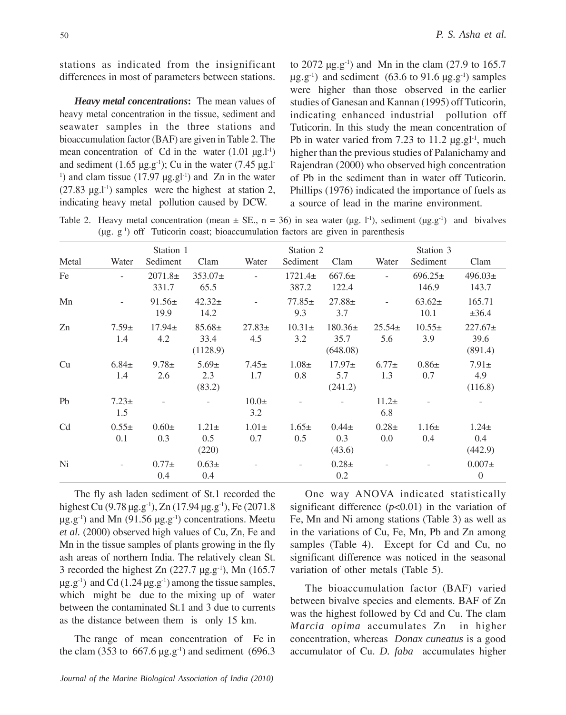stations as indicated from the insignificant differences in most of parameters between stations.

*Heavy metal concentrations***:**The mean values of heavy metal concentration in the tissue, sediment and seawater samples in the three stations and bioaccumulation factor (BAF) are given in Table 2. The mean concentration of Cd in the water  $(1.01 \mu g.1^{-1})$ and sediment (1.65  $\mu$ g.g<sup>-1</sup>); Cu in the water (7.45  $\mu$ g.l<sup>-1</sup>) <sup>1</sup>) and clam tissue (17.97  $\mu$ g.gl<sup>-1</sup>) and Zn in the water  $(27.83 \text{ µg.}1^{1})$  samples were the highest at station 2, indicating heavy metal pollution caused by DCW.

to 2072  $\mu$ g.g<sup>-1</sup>) and Mn in the clam (27.9 to 165.7  $\mu$ g.g<sup>-1</sup>) and sediment (63.6 to 91.6  $\mu$ g.g<sup>-1</sup>) samples were higher than those observed in the earlier studies of Ganesan and Kannan (1995) off Tuticorin, indicating enhanced industrial pollution off Tuticorin. In this study the mean concentration of Pb in water varied from 7.23 to 11.2  $\mu$ g.gl<sup>-1</sup>, much higher than the previous studies of Palanichamy and Rajendran (2000) who observed high concentration of Pb in the sediment than in water off Tuticorin. Phillips (1976) indicated the importance of fuels as a source of lead in the marine environment.

Table 2. Heavy metal concentration (mean  $\pm$  SE., n = 36) in sea water (ug. l<sup>-1</sup>), sediment (ug.g<sup>-1</sup>) and bivalves  $(\mu g. g<sup>-1</sup>)$  off Tuticorin coast; bioaccumulation factors are given in parenthesis

| Metal          | Water             | Station 1<br>Sediment | Clam                            | Water              | Station 2<br>Sediment | Clam                            | Water             | Station 3<br>Sediment | Clam                            |
|----------------|-------------------|-----------------------|---------------------------------|--------------------|-----------------------|---------------------------------|-------------------|-----------------------|---------------------------------|
| Fe             |                   | $2071.8+$<br>331.7    | $353.07 \pm$<br>65.5            |                    | $1721.4\pm$<br>387.2  | $667.6\pm$<br>122.4             |                   | $696.25 \pm$<br>146.9 | $496.03\pm$<br>143.7            |
| Mn             |                   | $91.56\pm$<br>19.9    | $42.32+$<br>14.2                |                    | $77.85 \pm$<br>9.3    | $27.88 \pm$<br>3.7              |                   | $63.62 \pm$<br>10.1   | 165.71<br>$\pm 36.4$            |
| Zn             | $7.59\pm$<br>1.4  | $17.94 \pm$<br>4.2    | $85.68 \pm$<br>33.4<br>(1128.9) | $27.83 \pm$<br>4.5 | $10.31 \pm$<br>3.2    | $180.36\pm$<br>35.7<br>(648.08) | $25.54\pm$<br>5.6 | $10.55\pm$<br>3.9     | $227.67 \pm$<br>39.6<br>(891.4) |
| Cu             | $6.84 \pm$<br>1.4 | $9.78 \pm$<br>2.6     | $5.69 \pm$<br>2.3<br>(83.2)     | $7.45 \pm$<br>1.7  | $1.08\pm$<br>0.8      | $17.97 \pm$<br>5.7<br>(241.2)   | $6.77 \pm$<br>1.3 | $0.86\pm$<br>0.7      | $7.91 \pm$<br>4.9<br>(116.8)    |
| Pb             | $7.23 \pm$<br>1.5 |                       |                                 | $10.0\pm$<br>3.2   |                       |                                 | $11.2+$<br>6.8    |                       |                                 |
| C <sub>d</sub> | $0.55\pm$<br>0.1  | $0.60\pm$<br>0.3      | $1.21\pm$<br>0.5<br>(220)       | $1.01\pm$<br>0.7   | $1.65 \pm$<br>0.5     | $0.44\pm$<br>0.3<br>(43.6)      | $0.28\pm$<br>0.0  | $1.16\pm$<br>0.4      | $1.24 \pm$<br>0.4<br>(442.9)    |
| Ni             |                   | $0.77\pm$<br>0.4      | $0.63\pm$<br>0.4                |                    |                       | $0.28\pm$<br>0.2                |                   |                       | $0.007\pm$<br>$\mathbf{0}$      |

The fly ash laden sediment of St.1 recorded the highest Cu (9.78  $\mu$ g.g<sup>-1</sup>), Zn (17.94  $\mu$ g.g<sup>-1</sup>), Fe (2071.8  $\mu$ g.g<sup>-1</sup>) and Mn (91.56  $\mu$ g.g<sup>-1</sup>) concentrations. Meetu *et al.* (2000) observed high values of Cu, Zn, Fe and Mn in the tissue samples of plants growing in the fly ash areas of northern India. The relatively clean St. 3 recorded the highest Zn  $(227.7 \text{ µg.g}^{-1})$ , Mn  $(165.7 \text{ µg}^{-1})$  $\mu$ g.g<sup>-1</sup>) and Cd (1.24  $\mu$ g.g<sup>-1</sup>) among the tissue samples, which might be due to the mixing up of water between the contaminated St.1 and 3 due to currents as the distance between them is only 15 km.

The range of mean concentration of Fe in the clam (353 to 667.6  $\mu$ g.g<sup>-1</sup>) and sediment (696.3)

One way ANOVA indicated statistically significant difference  $(p<0.01)$  in the variation of Fe, Mn and Ni among stations (Table 3) as well as in the variations of Cu, Fe, Mn, Pb and Zn among samples (Table 4). Except for Cd and Cu, no significant difference was noticed in the seasonal variation of other metals (Table 5).

The bioaccumulation factor (BAF) varied between bivalve species and elements. BAF of Zn was the highest followed by Cd and Cu. The clam *Marcia opima* accumulates Zn in higher concentration, whereas *Donax cuneatus* is a good accumulator of Cu. *D. faba* accumulates higher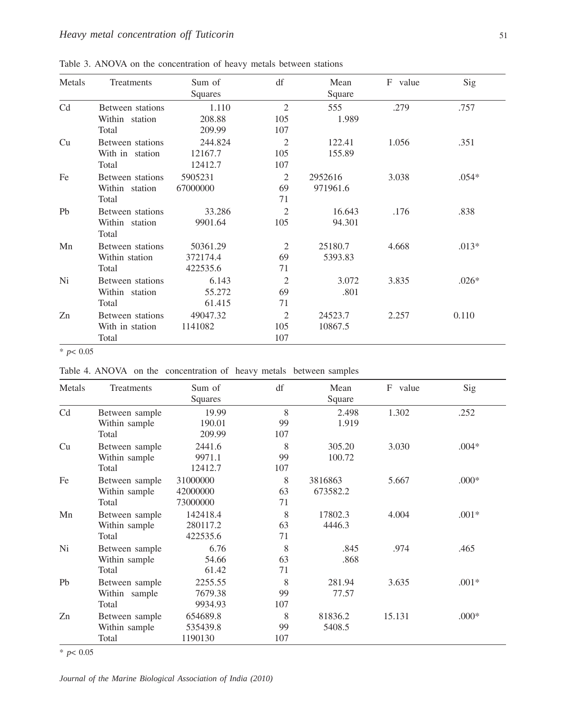| Metals | Treatments                                   | Sum of<br>Squares                | df                         | Mean<br>Square      | F value | Sig     |
|--------|----------------------------------------------|----------------------------------|----------------------------|---------------------|---------|---------|
| Cd     | Between stations<br>Within station<br>Total  | 1.110<br>208.88<br>209.99        | 2<br>105<br>107            | 555<br>1.989        | .279    | .757    |
| Cu     | Between stations<br>With in station<br>Total | 244.824<br>12167.7<br>12412.7    | 2<br>105<br>107            | 122.41<br>155.89    | 1.056   | .351    |
| Fe     | Between stations<br>Within station<br>Total  | 5905231<br>67000000              | 2<br>69<br>71              | 2952616<br>971961.6 | 3.038   | $.054*$ |
| Pb     | Between stations<br>Within station<br>Total  | 33.286<br>9901.64                | 2<br>105                   | 16.643<br>94.301    | .176    | .838    |
| Mn     | Between stations<br>Within station<br>Total  | 50361.29<br>372174.4<br>422535.6 | 2<br>69<br>71              | 25180.7<br>5393.83  | 4.668   | $.013*$ |
| Ni     | Between stations<br>Within station<br>Total  | 6.143<br>55.272<br>61.415        | $\overline{2}$<br>69<br>71 | 3.072<br>.801       | 3.835   | $.026*$ |
| Zn     | Between stations<br>With in station<br>Total | 49047.32<br>1141082              | 2<br>105<br>107            | 24523.7<br>10867.5  | 2.257   | 0.110   |

Table 3. ANOVA on the concentration of heavy metals between stations

\* *p*< 0.05

Table 4. ANOVA on the concentration of heavy metals between samples

| Metals         | Treatments                               | Sum of<br><b>Squares</b>         | df             | Mean<br>Square      | F value | Sig     |
|----------------|------------------------------------------|----------------------------------|----------------|---------------------|---------|---------|
| C <sub>d</sub> | Between sample<br>Within sample<br>Total | 19.99<br>190.01<br>209.99        | 8<br>99<br>107 | 2.498<br>1.919      | 1.302   | .252    |
| Cu             | Between sample<br>Within sample<br>Total | 2441.6<br>9971.1<br>12412.7      | 8<br>99<br>107 | 305.20<br>100.72    | 3.030   | $.004*$ |
| Fe             | Between sample<br>Within sample<br>Total | 31000000<br>42000000<br>73000000 | 8<br>63<br>71  | 3816863<br>673582.2 | 5.667   | $.000*$ |
| Mn             | Between sample<br>Within sample<br>Total | 142418.4<br>280117.2<br>422535.6 | 8<br>63<br>71  | 17802.3<br>4446.3   | 4.004   | $.001*$ |
| Ni             | Between sample<br>Within sample<br>Total | 6.76<br>54.66<br>61.42           | 8<br>63<br>71  | .845<br>.868        | .974    | .465    |
| Pb             | Between sample<br>Within sample<br>Total | 2255.55<br>7679.38<br>9934.93    | 8<br>99<br>107 | 281.94<br>77.57     | 3.635   | $.001*$ |
| Zn             | Between sample<br>Within sample<br>Total | 654689.8<br>535439.8<br>1190130  | 8<br>99<br>107 | 81836.2<br>5408.5   | 15.131  | $.000*$ |

\* *p*< 0.05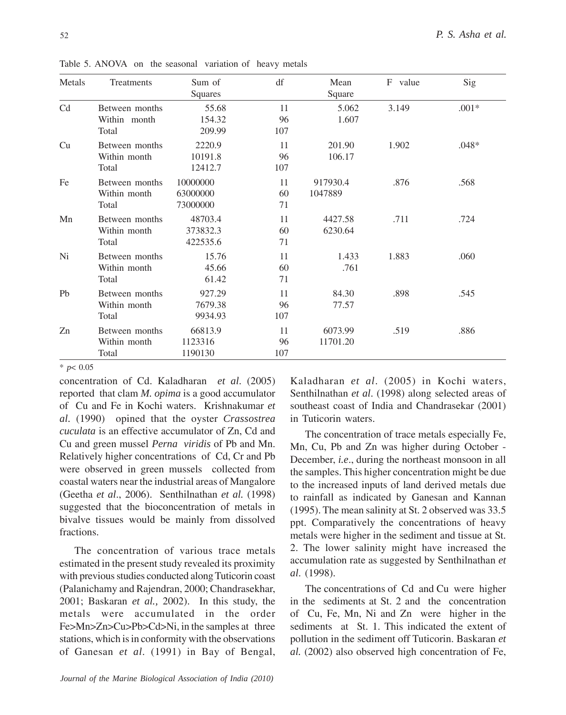| Metals         | Treatments                              | Sum of<br>Squares                | df              | Mean<br>Square      | F value | Sig     |
|----------------|-----------------------------------------|----------------------------------|-----------------|---------------------|---------|---------|
| Cd             | Between months<br>Within month<br>Total | 55.68<br>154.32<br>209.99        | 11<br>96<br>107 | 5.062<br>1.607      | 3.149   | $.001*$ |
| Cu             | Between months<br>Within month<br>Total | 2220.9<br>10191.8<br>12412.7     | 11<br>96<br>107 | 201.90<br>106.17    | 1.902   | $.048*$ |
| Fe             | Between months<br>Within month<br>Total | 10000000<br>63000000<br>73000000 | 11<br>60<br>71  | 917930.4<br>1047889 | .876    | .568    |
| Mn             | Between months<br>Within month<br>Total | 48703.4<br>373832.3<br>422535.6  | 11<br>60<br>71  | 4427.58<br>6230.64  | .711    | .724    |
| Ni             | Between months<br>Within month<br>Total | 15.76<br>45.66<br>61.42          | 11<br>60<br>71  | 1.433<br>.761       | 1.883   | .060    |
| P <sub>b</sub> | Between months<br>Within month<br>Total | 927.29<br>7679.38<br>9934.93     | 11<br>96<br>107 | 84.30<br>77.57      | .898    | .545    |
| Zn             | Between months<br>Within month<br>Total | 66813.9<br>1123316<br>1190130    | 11<br>96<br>107 | 6073.99<br>11701.20 | .519    | .886    |

Table 5. ANOVA on the seasonal variation of heavy metals

\* *p*< 0.05

concentration of Cd. Kaladharan *et al*. (2005) reported that clam *M. opima* is a good accumulator of Cu and Fe in Kochi waters. Krishnakumar *et al.* (1990) opined that the oyster *Crassostrea cuculata* is an effective accumulator of Zn, Cd and Cu and green mussel *Perna viridis* of Pb and Mn. Relatively higher concentrations of Cd, Cr and Pb were observed in green mussels collected from coastal waters near the industrial areas of Mangalore (Geetha *et al*., 2006). Senthilnathan *et al.* (1998) suggested that the bioconcentration of metals in bivalve tissues would be mainly from dissolved fractions.

The concentration of various trace metals estimated in the present study revealed its proximity with previous studies conducted along Tuticorin coast (Palanichamy and Rajendran, 2000; Chandrasekhar, 2001; Baskaran *et al.,* 2002). In this study, the metals were accumulated in the order Fe>Mn>Zn>Cu>Pb>Cd>Ni, in the samples at three stations, which is in conformity with the observations of Ganesan *et al*. (1991) in Bay of Bengal, Kaladharan *et al*. (2005) in Kochi waters, Senthilnathan *et al*. (1998) along selected areas of southeast coast of India and Chandrasekar (2001) in Tuticorin waters.

The concentration of trace metals especially Fe, Mn, Cu, Pb and Zn was higher during October - December, *i.e*., during the northeast monsoon in all the samples. This higher concentration might be due to the increased inputs of land derived metals due to rainfall as indicated by Ganesan and Kannan (1995). The mean salinity at St. 2 observed was 33.5 ppt. Comparatively the concentrations of heavy metals were higher in the sediment and tissue at St. 2. The lower salinity might have increased the accumulation rate as suggested by Senthilnathan *et al*. (1998).

The concentrations of Cd and Cu were higher in the sediments at St. 2 and the concentration of Cu, Fe, Mn, Ni and Zn were higher in the sediments at St. 1. This indicated the extent of pollution in the sediment off Tuticorin. Baskaran *et al.* (2002) also observed high concentration of Fe,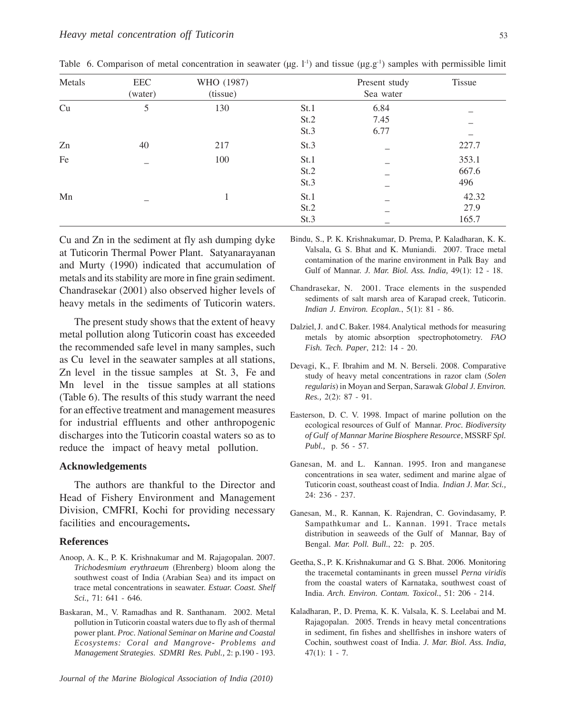| Metals | EEC<br>(water) | WHO (1987)<br>(tissue) |      | Present study<br>Sea water | Tissue |
|--------|----------------|------------------------|------|----------------------------|--------|
| Cu     | 5              | 130                    | St.1 | 6.84                       |        |
|        |                |                        | St.2 | 7.45                       |        |
|        |                |                        | St.3 | 6.77                       |        |
| Zn     | 40             | 217                    | St.3 |                            | 227.7  |
| Fe     |                | 100                    | St.1 |                            | 353.1  |
|        |                |                        | St.2 |                            | 667.6  |
|        |                |                        | St.3 |                            | 496    |
| Mn     |                |                        | St.1 |                            | 42.32  |
|        |                |                        | St.2 |                            | 27.9   |
|        |                |                        | St.3 |                            | 165.7  |

Table 6. Comparison of metal concentration in seawater ( $\mu$ g. l<sup>-1</sup>) and tissue ( $\mu$ g.g<sup>-1</sup>) samples with permissible limit

Cu and Zn in the sediment at fly ash dumping dyke at Tuticorin Thermal Power Plant. Satyanarayanan and Murty (1990) indicated that accumulation of metals and its stability are more in fine grain sediment. Chandrasekar (2001) also observed higher levels of heavy metals in the sediments of Tuticorin waters.

The present study shows that the extent of heavy metal pollution along Tuticorin coast has exceeded the recommended safe level in many samples, such as Cu level in the seawater samples at all stations, Zn level in the tissue samples at St. 3, Fe and Mn level in the tissue samples at all stations (Table 6). The results of this study warrant the need for an effective treatment and management measures for industrial effluents and other anthropogenic discharges into the Tuticorin coastal waters so as to reduce the impact of heavy metal pollution.

#### **Acknowledgements**

The authors are thankful to the Director and Head of Fishery Environment and Management Division, CMFRI, Kochi for providing necessary facilities and encouragements**.**

#### **References**

- Anoop, A. K., P. K. Krishnakumar and M. Rajagopalan. 2007. *Trichodesmium erythraeum* (Ehrenberg) bloom along the southwest coast of India (Arabian Sea) and its impact on trace metal concentrations in seawater. *Estuar. Coast. Shelf Sci.,* 71: 641 - 646.
- Baskaran, M., V. Ramadhas and R. Santhanam. 2002. Metal pollution in Tuticorin coastal waters due to fly ash of thermal power plant. *Proc. National Seminar on Marine and Coastal Ecosystems: Coral and Mangrove- Problems and Management Strategies*. *SDMRI Res. Publ.,* 2: p.190 - 193.
- Bindu, S., P. K. Krishnakumar, D. Prema, P. Kaladharan, K. K. Valsala, G. S. Bhat and K. Muniandi. 2007. Trace metal contamination of the marine environment in Palk Bay and Gulf of Mannar. *J. Mar. Biol. Ass. India,* 49(1): 12 - 18.
- Chandrasekar, N. 2001. Trace elements in the suspended sediments of salt marsh area of Karapad creek, Tuticorin. *Indian J. Environ. Ecoplan.*, 5(1): 81 - 86.
- Dalziel, J. and C. Baker. 1984. Analytical methods for measuring metals by atomic absorption spectrophotometry. *FAO Fish. Tech. Paper*, 212: 14 - 20.
- Devagi, K., F. Ibrahim and M. N. Berseli. 2008. Comparative study of heavy metal concentrations in razor clam (*Solen regularis*) in Moyan and Serpan, Sarawak *Global J. Environ. Res.,* 2(2): 87 - 91.
- Easterson, D. C. V. 1998. Impact of marine pollution on the ecological resources of Gulf of Mannar. *Proc. Biodiversity of Gulf of Mannar Marine Biosphere Resource*, MSSRF *Spl. Publ.,* p. 56 - 57.
- Ganesan, M. and L. Kannan. 1995. Iron and manganese concentrations in sea water, sediment and marine algae of Tuticorin coast, southeast coast of India. *Indian J*. *Mar. Sci.,* 24: 236 - 237.
- Ganesan, M., R. Kannan, K. Rajendran, C. Govindasamy, P. Sampathkumar and L. Kannan. 1991. Trace metals distribution in seaweeds of the Gulf of Mannar, Bay of Bengal. *Mar. Poll. Bull.*, 22: p. 205.
- Geetha, S., P. K. Krishnakumar and G. S. Bhat. 2006. Monitoring the tracemetal contaminants in green mussel *Perna viridis* from the coastal waters of Karnataka, southwest coast of India. *Arch. Environ. Contam. Toxicol.*, 51: 206 - 214.
- Kaladharan, P., D. Prema, K. K. Valsala, K. S. Leelabai and M. Rajagopalan. 2005. Trends in heavy metal concentrations in sediment, fin fishes and shellfishes in inshore waters of Cochin, southwest coast of India. *J. Mar. Biol. Ass. India,*  $47(1): 1 - 7.$